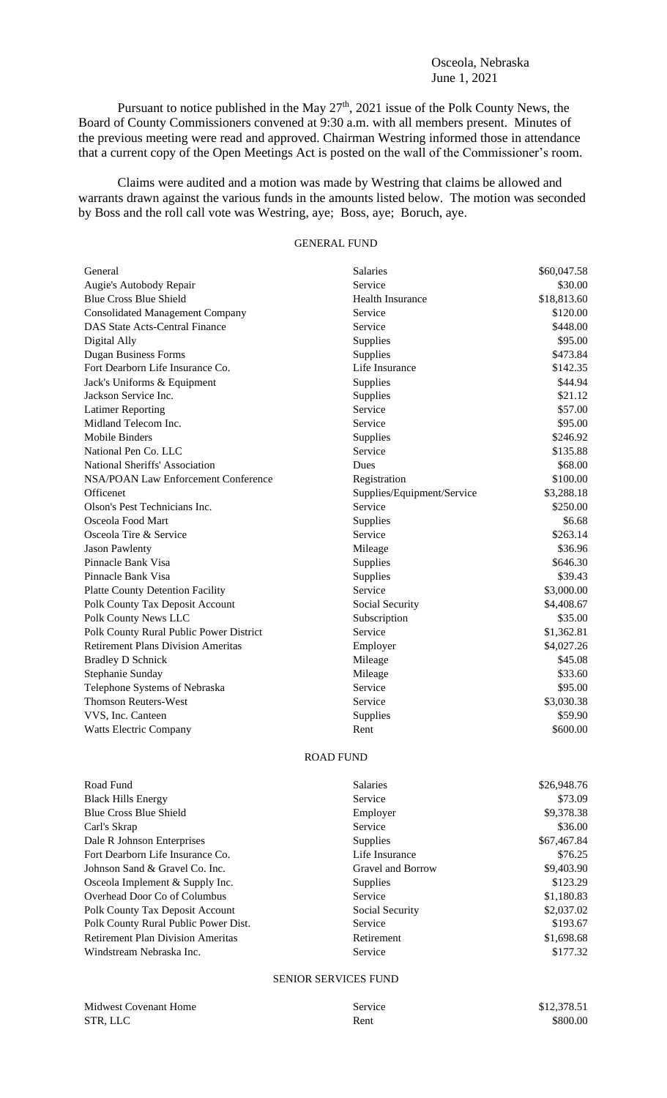### Osceola, Nebraska June 1, 2021

Pursuant to notice published in the May  $27<sup>th</sup>$ , 2021 issue of the Polk County News, the Board of County Commissioners convened at 9:30 a.m. with all members present. Minutes of the previous meeting were read and approved. Chairman Westring informed those in attendance that a current copy of the Open Meetings Act is posted on the wall of the Commissioner's room.

Claims were audited and a motion was made by Westring that claims be allowed and warrants drawn against the various funds in the amounts listed below. The motion was seconded by Boss and the roll call vote was Westring, aye; Boss, aye; Boruch, aye.

# GENERAL FUND

| General                                   | <b>Salaries</b>            | \$60,047.58 |
|-------------------------------------------|----------------------------|-------------|
| Augie's Autobody Repair                   | Service                    | \$30.00     |
| <b>Blue Cross Blue Shield</b>             | <b>Health Insurance</b>    | \$18,813.60 |
| <b>Consolidated Management Company</b>    | Service                    | \$120.00    |
| <b>DAS State Acts-Central Finance</b>     | Service                    | \$448.00    |
| Digital Ally                              | Supplies                   | \$95.00     |
| <b>Dugan Business Forms</b>               | Supplies                   | \$473.84    |
| Fort Dearborn Life Insurance Co.          | Life Insurance             | \$142.35    |
| Jack's Uniforms & Equipment               | Supplies                   | \$44.94     |
| Jackson Service Inc.                      | Supplies                   | \$21.12     |
| <b>Latimer Reporting</b>                  | Service                    | \$57.00     |
| Midland Telecom Inc.                      | Service                    | \$95.00     |
| <b>Mobile Binders</b>                     | Supplies                   | \$246.92    |
| National Pen Co. LLC                      | Service                    | \$135.88    |
| National Sheriffs' Association            | Dues                       | \$68.00     |
| NSA/POAN Law Enforcement Conference       | Registration               | \$100.00    |
| Officenet                                 | Supplies/Equipment/Service | \$3,288.18  |
| Olson's Pest Technicians Inc.             | Service                    | \$250.00    |
| Osceola Food Mart                         | Supplies                   | \$6.68      |
| Osceola Tire & Service                    | Service                    | \$263.14    |
| <b>Jason Pawlenty</b>                     | Mileage                    | \$36.96     |
| Pinnacle Bank Visa                        | Supplies                   | \$646.30    |
| Pinnacle Bank Visa                        | Supplies                   | \$39.43     |
| <b>Platte County Detention Facility</b>   | Service                    | \$3,000.00  |
| Polk County Tax Deposit Account           | Social Security            | \$4,408.67  |
| Polk County News LLC                      | Subscription               | \$35.00     |
| Polk County Rural Public Power District   | Service                    | \$1,362.81  |
| <b>Retirement Plans Division Ameritas</b> | Employer                   | \$4,027.26  |
| <b>Bradley D Schnick</b>                  | Mileage                    | \$45.08     |
| Stephanie Sunday                          | Mileage                    | \$33.60     |
| Telephone Systems of Nebraska             | Service                    | \$95.00     |
| <b>Thomson Reuters-West</b>               | Service                    | \$3,030.38  |
| VVS, Inc. Canteen                         | Supplies                   | \$59.90     |
| Watts Electric Company                    | Rent                       | \$600.00    |
|                                           |                            |             |

#### ROAD FUND

| <b>Salaries</b>   | \$26,948.76 |
|-------------------|-------------|
| Service           | \$73.09     |
| Employer          | \$9,378.38  |
| Service           | \$36.00     |
| <b>Supplies</b>   | \$67,467.84 |
| Life Insurance    | \$76.25     |
| Gravel and Borrow | \$9,403.90  |
| <b>Supplies</b>   | \$123.29    |
| Service           | \$1,180.83  |
| Social Security   | \$2,037.02  |
| Service           | \$193.67    |
| Retirement        | \$1,698.68  |
| Service           | \$177.32    |
|                   |             |

## SENIOR SERVICES FUND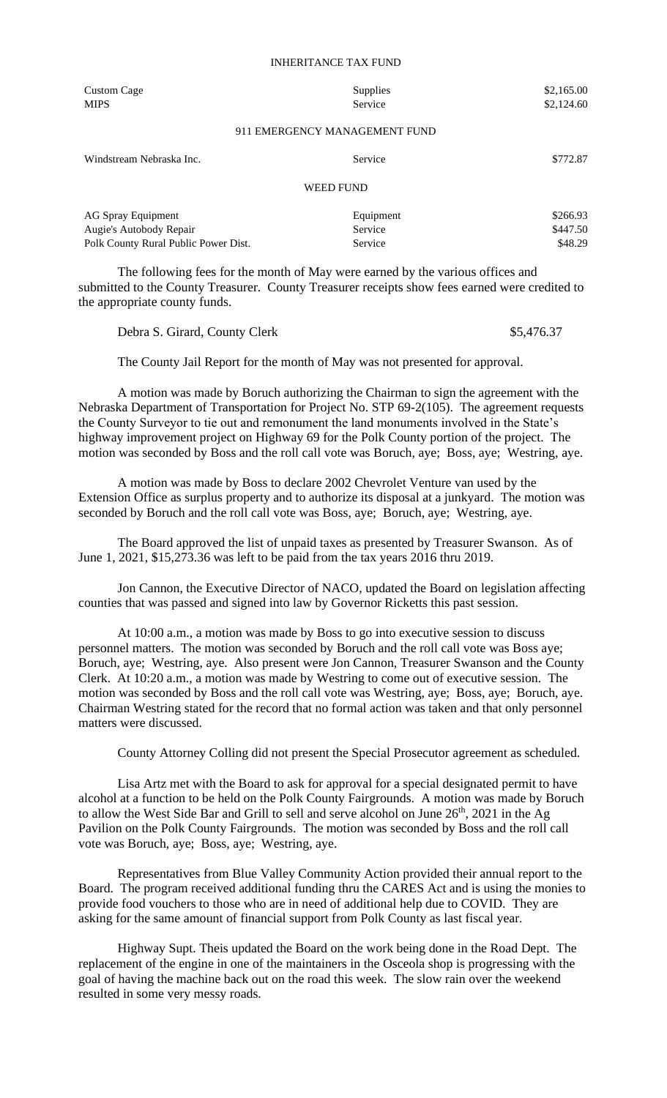#### INHERITANCE TAX FUND

| Custom Cage<br><b>MIPS</b>           | <b>Supplies</b><br>Service    | \$2,165.00<br>\$2,124.60 |
|--------------------------------------|-------------------------------|--------------------------|
|                                      | 911 EMERGENCY MANAGEMENT FUND |                          |
| Windstream Nebraska Inc.             | Service                       | \$772.87                 |
|                                      | <b>WEED FUND</b>              |                          |
| <b>AG Spray Equipment</b>            | Equipment                     | \$266.93                 |
| Augie's Autobody Repair              | Service                       | \$447.50                 |
| Polk County Rural Public Power Dist. | Service                       | \$48.29                  |

The following fees for the month of May were earned by the various offices and submitted to the County Treasurer. County Treasurer receipts show fees earned were credited to the appropriate county funds.

Debra S. Girard, County Clerk  $$5,476.37$ 

The County Jail Report for the month of May was not presented for approval.

A motion was made by Boruch authorizing the Chairman to sign the agreement with the Nebraska Department of Transportation for Project No. STP 69-2(105). The agreement requests the County Surveyor to tie out and remonument the land monuments involved in the State's highway improvement project on Highway 69 for the Polk County portion of the project. The motion was seconded by Boss and the roll call vote was Boruch, aye; Boss, aye; Westring, aye.

A motion was made by Boss to declare 2002 Chevrolet Venture van used by the Extension Office as surplus property and to authorize its disposal at a junkyard. The motion was seconded by Boruch and the roll call vote was Boss, aye; Boruch, aye; Westring, aye.

The Board approved the list of unpaid taxes as presented by Treasurer Swanson. As of June 1, 2021, \$15,273.36 was left to be paid from the tax years 2016 thru 2019.

Jon Cannon, the Executive Director of NACO, updated the Board on legislation affecting counties that was passed and signed into law by Governor Ricketts this past session.

At 10:00 a.m., a motion was made by Boss to go into executive session to discuss personnel matters. The motion was seconded by Boruch and the roll call vote was Boss aye; Boruch, aye; Westring, aye. Also present were Jon Cannon, Treasurer Swanson and the County Clerk. At 10:20 a.m., a motion was made by Westring to come out of executive session. The motion was seconded by Boss and the roll call vote was Westring, aye; Boss, aye; Boruch, aye. Chairman Westring stated for the record that no formal action was taken and that only personnel matters were discussed.

County Attorney Colling did not present the Special Prosecutor agreement as scheduled.

Lisa Artz met with the Board to ask for approval for a special designated permit to have alcohol at a function to be held on the Polk County Fairgrounds. A motion was made by Boruch to allow the West Side Bar and Grill to sell and serve alcohol on June 26<sup>th</sup>, 2021 in the Ag Pavilion on the Polk County Fairgrounds. The motion was seconded by Boss and the roll call vote was Boruch, aye; Boss, aye; Westring, aye.

Representatives from Blue Valley Community Action provided their annual report to the Board. The program received additional funding thru the CARES Act and is using the monies to provide food vouchers to those who are in need of additional help due to COVID. They are asking for the same amount of financial support from Polk County as last fiscal year.

Highway Supt. Theis updated the Board on the work being done in the Road Dept. The replacement of the engine in one of the maintainers in the Osceola shop is progressing with the goal of having the machine back out on the road this week. The slow rain over the weekend resulted in some very messy roads.